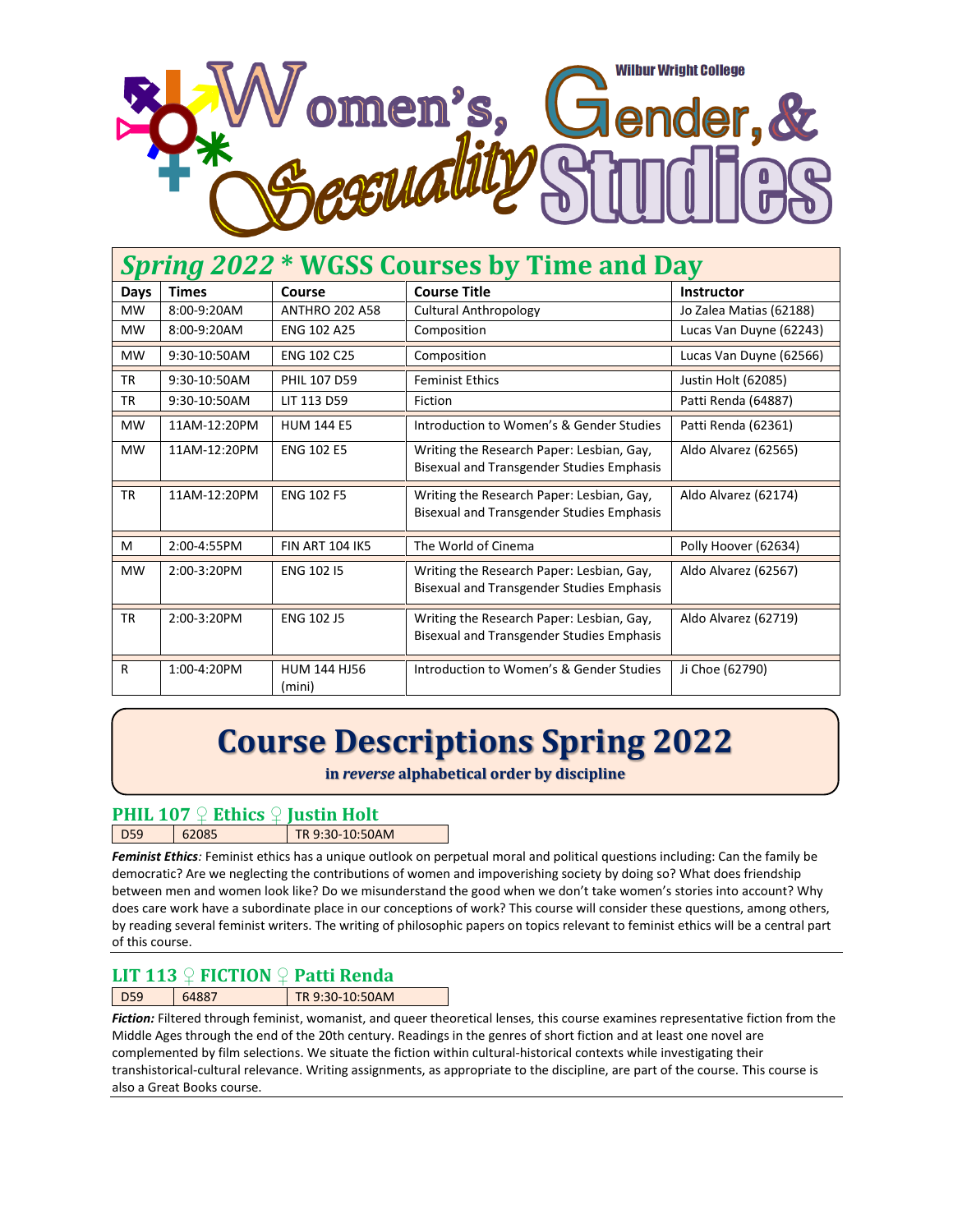

| Spring 2022 * WGSS Courses by Time and Day |              |                               |                                                                                               |                         |  |
|--------------------------------------------|--------------|-------------------------------|-----------------------------------------------------------------------------------------------|-------------------------|--|
| Days                                       | <b>Times</b> | Course                        | <b>Course Title</b>                                                                           | Instructor              |  |
| <b>MW</b>                                  | 8:00-9:20AM  | <b>ANTHRO 202 A58</b>         | <b>Cultural Anthropology</b>                                                                  | Jo Zalea Matias (62188) |  |
| <b>MW</b>                                  | 8:00-9:20AM  | <b>ENG 102 A25</b>            | Composition                                                                                   | Lucas Van Duyne (62243) |  |
| <b>MW</b>                                  | 9:30-10:50AM | <b>ENG 102 C25</b>            | Composition                                                                                   | Lucas Van Duyne (62566) |  |
| <b>TR</b>                                  | 9:30-10:50AM | PHIL 107 D59                  | <b>Feminist Ethics</b>                                                                        | Justin Holt (62085)     |  |
| <b>TR</b>                                  | 9:30-10:50AM | LIT 113 D59                   | Fiction                                                                                       | Patti Renda (64887)     |  |
| <b>MW</b>                                  | 11AM-12:20PM | <b>HUM 144 E5</b>             | Introduction to Women's & Gender Studies                                                      | Patti Renda (62361)     |  |
| <b>MW</b>                                  | 11AM-12:20PM | <b>ENG 102 E5</b>             | Writing the Research Paper: Lesbian, Gay,<br><b>Bisexual and Transgender Studies Emphasis</b> | Aldo Alvarez (62565)    |  |
| <b>TR</b>                                  | 11AM-12:20PM | <b>ENG 102 F5</b>             | Writing the Research Paper: Lesbian, Gay,<br><b>Bisexual and Transgender Studies Emphasis</b> | Aldo Alvarez (62174)    |  |
| M                                          | 2:00-4:55PM  | <b>FIN ART 104 IK5</b>        | The World of Cinema                                                                           | Polly Hoover (62634)    |  |
| <b>MW</b>                                  | 2:00-3:20PM  | <b>ENG 102 I5</b>             | Writing the Research Paper: Lesbian, Gay,<br><b>Bisexual and Transgender Studies Emphasis</b> | Aldo Alvarez (62567)    |  |
| <b>TR</b>                                  | 2:00-3:20PM  | <b>ENG 102 J5</b>             | Writing the Research Paper: Lesbian, Gay,<br><b>Bisexual and Transgender Studies Emphasis</b> | Aldo Alvarez (62719)    |  |
| R                                          | 1:00-4:20PM  | <b>HUM 144 HJ56</b><br>(mini) | Introduction to Women's & Gender Studies                                                      | Ji Choe (62790)         |  |

# **Course Descriptions Spring 2022**

**in** *reverse* **alphabetical order by discipline**

# **PHIL 107 ♀ Ethics ♀ Justin Holt**

| <b>`г∩</b> | TR 9:30-10:50AM |
|------------|-----------------|
|            |                 |

*Feminist Ethics:* Feminist ethics has a unique outlook on perpetual moral and political questions including: Can the family be democratic? Are we neglecting the contributions of women and impoverishing society by doing so? What does friendship between men and women look like? Do we misunderstand the good when we don't take women's stories into account? Why does care work have a subordinate place in our conceptions of work? This course will consider these questions, among others, by reading several feminist writers. The writing of philosophic papers on topics relevant to feminist ethics will be a central part of this course.

# **LIT 113 ♀ FICTION ♀ Patti Renda**

D59 64887 TR 9:30-10:50AM

*Fiction:* Filtered through feminist, womanist, and queer theoretical lenses, this course examines representative fiction from the Middle Ages through the end of the 20th century. Readings in the genres of short fiction and at least one novel are complemented by film selections. We situate the fiction within cultural-historical contexts while investigating their transhistorical-cultural relevance. Writing assignments, as appropriate to the discipline, are part of the course. This course is also a Great Books course.